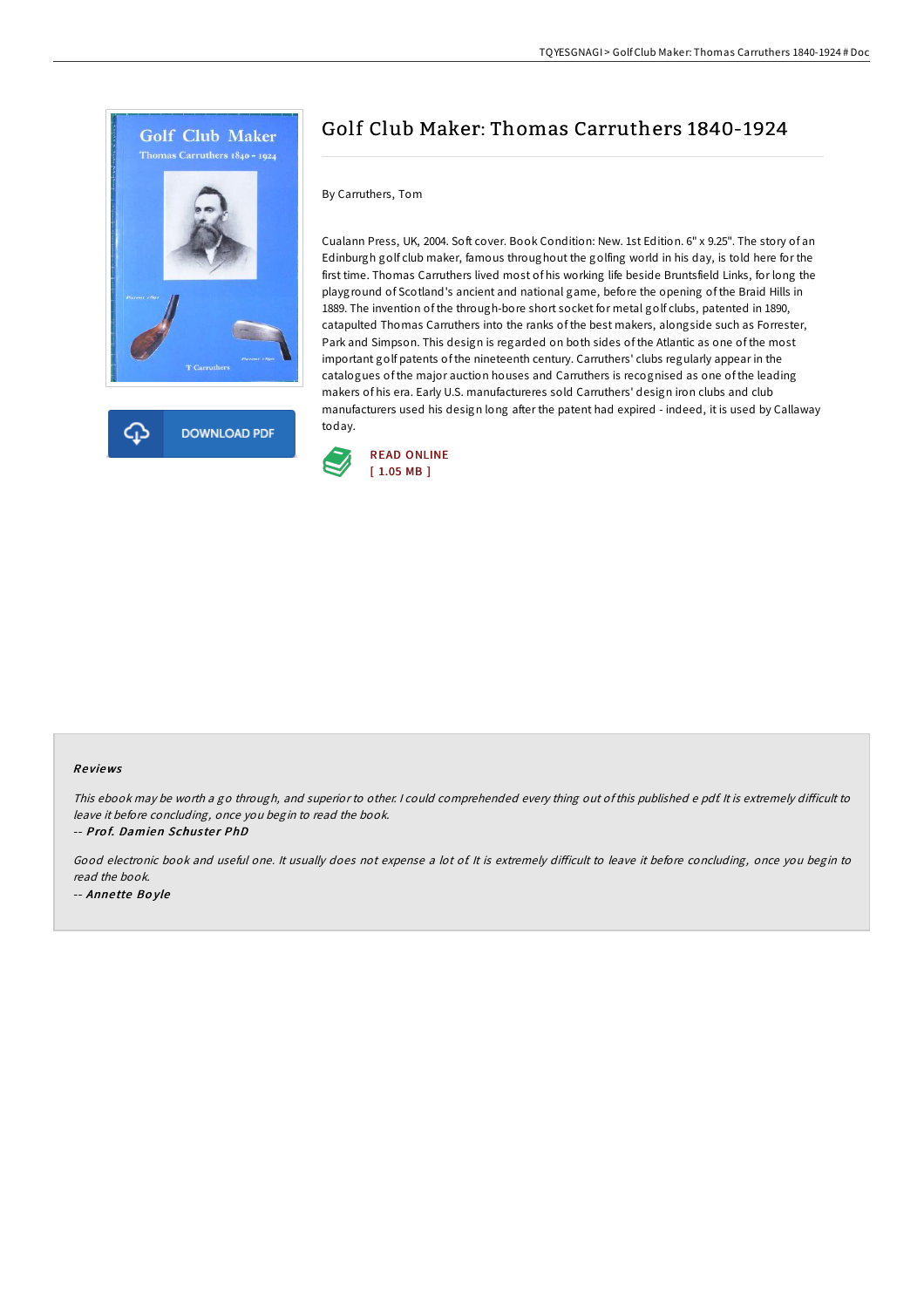



# Golf Club Maker: Thomas Carruthers 1840-1924

## By Carruthers, Tom

Cualann Press, UK, 2004. Soft cover. Book Condition: New. 1st Edition. 6" x 9.25". The story of an Edinburgh golf club maker, famous throughout the golfing world in his day, is told here for the first time. Thomas Carruthers lived most of his working life beside Bruntsfield Links, for long the playground of Scotland's ancient and national game, before the opening of the Braid Hills in 1889. The invention of the through-bore short socket for metal golf clubs, patented in 1890, catapulted Thomas Carruthers into the ranks of the best makers, alongside such as Forrester, Park and Simpson. This design is regarded on both sides of the Atlantic as one of the most important golf patents of the nineteenth century. Carruthers' clubs regularly appear in the catalogues of the major auction houses and Carruthers is recognised as one of the leading makers of his era. Early U.S. manufactureres sold Carruthers' design iron clubs and club manufacturers used his design long after the patent had expired - indeed, it is used by Callaway today.



## Re views

This ebook may be worth a go through, and superior to other. I could comprehended every thing out of this published e pdf. It is extremely difficult to leave it before concluding, once you begin to read the book.

-- Prof. Damien Schuster PhD

Good electronic book and useful one. It usually does not expense a lot of It is extremely difficult to leave it before concluding, once you begin to read the book. -- Anne tte Bo yle